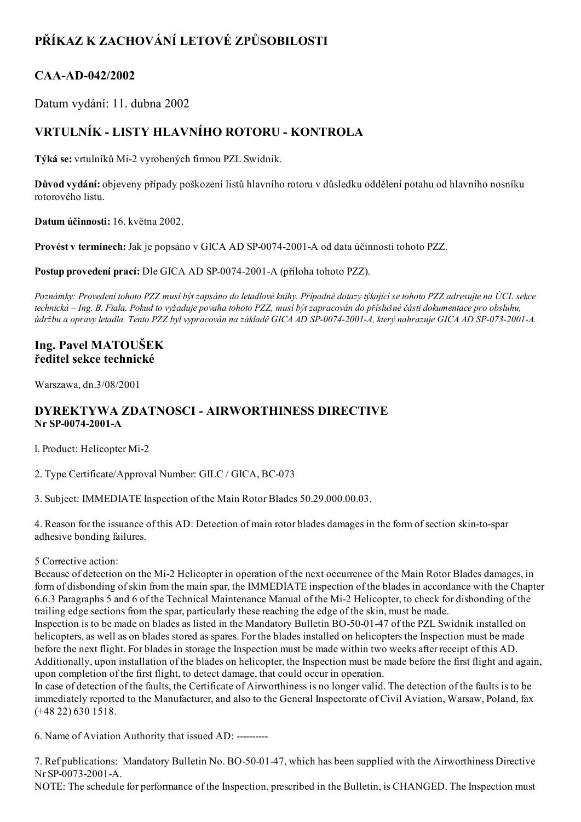# PŘÍKAZ K ZACHOVÁNÍ LETOVÉ ZPŮSOBILOSTI

### CAA-AD-042/2002

Datum vydání: 11. dubna 2002

## VRTULNÍK LISTY HLAVNÍHO ROTORU KONTROLA

Týká se: vrtulníků Mi2 vyrobených firmou PZL Swidnik.

Důvod vydání: objeveny případy poškození listů hlavního rotoru v důsledku oddělení potahu od hlavního nosníku rotorového listu.

Datum účinnosti: 16. května 2002.

Provést v termínech: Jak je popsáno v GICA AD SP-0074-2001-A od data účinnosti tohoto PZZ.

Postup provedení prací: Dle GICA AD SP-0074-2001-A (příloha tohoto PZZ).

Poznámky: Provedení tohoto PZZ musí být zapsáno do letadlové knihy. Případné dotazy týkající se tohoto PZZ adresujte na ÚCL sekce technická – Ing. B. Fiala. Pokud to vyžaduje povaha tohoto PZZ, musí být zapracován do příslušné části dokumentace pro obsluhu, údržbu a opravy letadla. Tento PZZ byl vypracován na základě GICA AD SP-0074-2001-A, který nahrazuje GICA AD SP-073-2001-A.

### Ing. Pavel MATOUŠEK ředitel sekce technické

Warszawa, dn.3/08/2001

#### DYREKTYWA ZDATNOSCI AIRWORTHINESS DIRECTIVE Nr SP-0074-2001-A

l. Product: Helicopter Mi2

2. Type Certificate/Approval Number: GILC / GICA, BC-073

3. Subject: IMMEDIATE Inspection of the Main Rotor Blades 50.29.000.00.03.

4. Reason for the issuance of this AD: Detection of main rotor blades damages in the form of section skin-to-spar adhesive bonding failures.

#### 5 Corrective action:

Because of detection on the Mi2 Helicopter in operation of the next occurrence of the Main Rotor Blades damages, in form of disbonding ofskin from the main spar, the IMMEDIATE inspection of the blades in accordance with the Chapter 6.6.3 Paragraphs 5 and 6 of the Technical Maintenance Manual of the Mi2 Helicopter, to check for disbonding of the trailing edge sections from the spar, particularly these reaching the edge of the skin, must be made.

Inspection is to be made on blades as listed in the Mandatory Bulletin BO-50-01-47 of the PZL Swidnik installed on helicopters, as well as on blades stored as spares. For the blades installed on helicopters the Inspection must be made before the next flight. For blades in storage the Inspection must be made within two weeks after receipt of this AD. Additionally, upon installation of the blades on helicopter, the Inspection must be made before the first flight and again, upon completion of the first flight, to detect damage, that could occur in operation.

In case of detection of the faults, the Certificate of Airworthiness is no longer valid. The detection of the faults is to be immediately reported to the Manufacturer, and also to the General Inspectorate of Civil Aviation, Warsaw, Poland, fax (+48 22) 630 1518.

6. Name of Aviation Authority that issued AD:

7. Ref publications: Mandatory Bulletin No. BO-50-01-47, which has been supplied with the Airworthiness Directive Nr SP-0073-2001-A.

NOTE: The schedule for performance of the Inspection, prescribed in the Bulletin, is CHANGED. The Inspection must